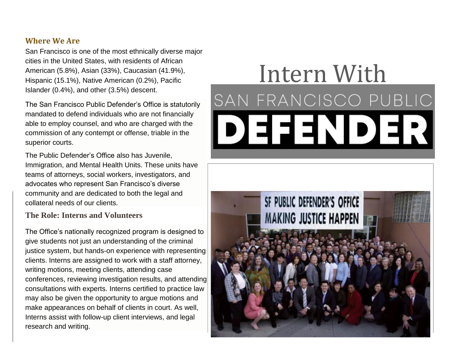#### **Where We Are**

San Francisco is one of the most ethnically diverse major cities in the United States, with residents of African American (5.8%), Asian (33%), Caucasian (41.9%), Hispanic (15.1%), Native American (0.2%), Pacific Islander (0.4%), and other (3.5%) descent.

The San Francisco Public Defender's Office is statutorily mandated to defend individuals who are not financially able to employ counsel, and who are charged with the commission of any contempt or offense, triable in the superior courts.

The Public Defender's Office also has Juvenile, Immigration, and Mental Health Units. These units have teams of attorneys, social workers, investigators, and advocates who represent San Francisco's diverse community and are dedicated to both the legal and collateral needs of our clients.

### **The Role: Interns and Volunteers**

The Office's nationally recognized program is designed to give students not just an understanding of the criminal justice system, but hands-on experience with representing clients. Interns are assigned to work with a staff attorney, writing motions, meeting clients, attending case conferences, reviewing investigation results, and attending consultations with experts. Interns certified to practice law may also be given the opportunity to argue motions and make appearances on behalf of clients in court. As well, Interns assist with follow-up client interviews, and legal research and writing.

# Intern With SAN FRANCISCO PUBLIC DEKIDEK

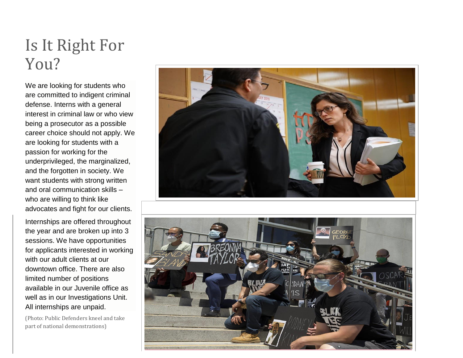## Is It Right For You?

We are looking for students who are committed to indigent criminal defense. Interns with a general interest in criminal law or who view being a prosecutor as a possible career choice should not apply. We are looking for students with a passion for working for the underprivileged, the marginalized, and the forgotten in society. We want students with strong written and oral communication skills – who are willing to think like advocates and fight for our clients.

Internships are offered throughout the year and are broken up into 3 sessions. We have opportunities for applicants interested in working with our adult clients at our downtown office. There are also limited number of positions available in our Juvenile office as well as in our Investigations Unit. All internships are unpaid.

(Photo: Public Defenders kneel and take part of national demonstrations)